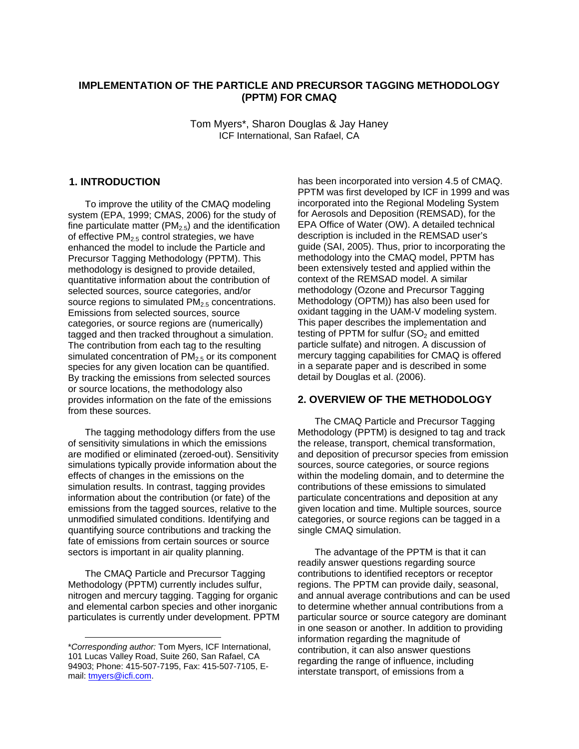# **IMPLEMENTATION OF THE PARTICLE AND PRECURSOR TAGGING METHODOLOGY (PPTM) FOR CMAQ**

Tom Myers\*, Sharon Douglas & Jay Haney ICF International, San Rafael, CA

# **1. INTRODUCTION**

To improve the utility of the CMAQ modeling system (EPA, 1999; CMAS, 2006) for the study of fine particulate matter  $(PM_{2.5})$  and the identification of effective  $PM_{2.5}$  control strategies, we have enhanced the model to include the Particle and Precursor Tagging Methodology (PPTM). This methodology is designed to provide detailed, quantitative information about the contribution of selected sources, source categories, and/or source regions to simulated  $PM<sub>2.5</sub>$  concentrations. Emissions from selected sources, source categories, or source regions are (numerically) tagged and then tracked throughout a simulation. The contribution from each tag to the resulting simulated concentration of  $PM<sub>2.5</sub>$  or its component species for any given location can be quantified. By tracking the emissions from selected sources or source locations, the methodology also provides information on the fate of the emissions from these sources.

The tagging methodology differs from the use of sensitivity simulations in which the emissions are modified or eliminated (zeroed-out). Sensitivity simulations typically provide information about the effects of changes in the emissions on the simulation results. In contrast, tagging provides information about the contribution (or fate) of the emissions from the tagged sources, relative to the unmodified simulated conditions. Identifying and quantifying source contributions and tracking the fate of emissions from certain sources or source sectors is important in air quality planning.

The CMAQ Particle and Precursor Tagging Methodology (PPTM) currently includes sulfur, nitrogen and mercury tagging. Tagging for organic and elemental carbon species and other inorganic particulates is currently under development. PPTM

1

has been incorporated into version 4.5 of CMAQ. PPTM was first developed by ICF in 1999 and was incorporated into the Regional Modeling System for Aerosols and Deposition (REMSAD), for the EPA Office of Water (OW). A detailed technical description is included in the REMSAD user's guide (SAI, 2005). Thus, prior to incorporating the methodology into the CMAQ model, PPTM has been extensively tested and applied within the context of the REMSAD model. A similar methodology (Ozone and Precursor Tagging Methodology (OPTM)) has also been used for oxidant tagging in the UAM-V modeling system. This paper describes the implementation and testing of PPTM for sulfur  $(SO<sub>2</sub>$  and emitted particle sulfate) and nitrogen. A discussion of mercury tagging capabilities for CMAQ is offered in a separate paper and is described in some detail by Douglas et al. (2006).

### **2. OVERVIEW OF THE METHODOLOGY**

The CMAQ Particle and Precursor Tagging Methodology (PPTM) is designed to tag and track the release, transport, chemical transformation, and deposition of precursor species from emission sources, source categories, or source regions within the modeling domain, and to determine the contributions of these emissions to simulated particulate concentrations and deposition at any given location and time. Multiple sources, source categories, or source regions can be tagged in a single CMAQ simulation.

The advantage of the PPTM is that it can readily answer questions regarding source contributions to identified receptors or receptor regions. The PPTM can provide daily, seasonal, and annual average contributions and can be used to determine whether annual contributions from a particular source or source category are dominant in one season or another. In addition to providing information regarding the magnitude of contribution, it can also answer questions regarding the range of influence, including interstate transport, of emissions from a

<sup>\*</sup>*Corresponding author:* Tom Myers, ICF International, 101 Lucas Valley Road, Suite 260, San Rafael, CA 94903; Phone: 415-507-7195, Fax: 415-507-7105, Email: [tmyers@icfi.com](mailto:tmyers@icfi.com).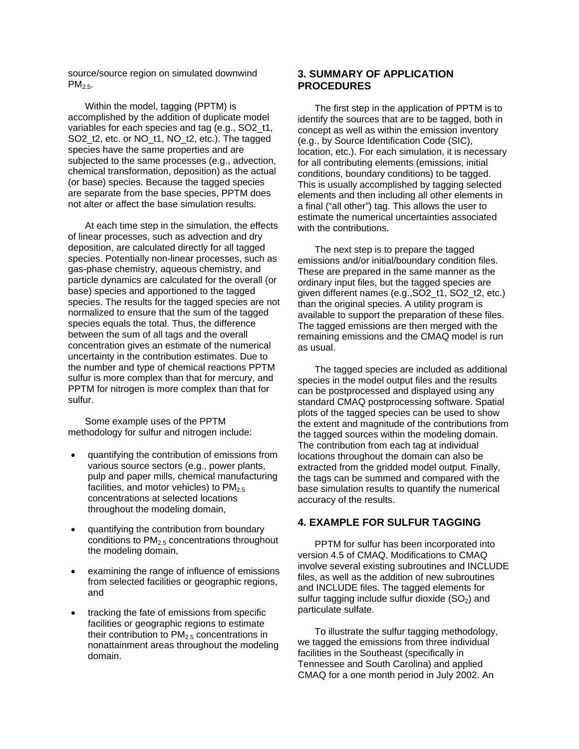source/source region on simulated downwind  $PM<sub>2.5</sub>$ .

Within the model, tagging (PPTM) is accomplished by the addition of duplicate model variables for each species and tag (e.g., SO2\_t1, SO2\_t2, etc. or NO\_t1, NO\_t2, etc.). The tagged species have the same properties and are subjected to the same processes (e.g., advection, chemical transformation, deposition) as the actual (or base) species. Because the tagged species are separate from the base species, PPTM does not alter or affect the base simulation results.

At each time step in the simulation, the effects of linear processes, such as advection and dry deposition, are calculated directly for all tagged species. Potentially non-linear processes, such as gas-phase chemistry, aqueous chemistry, and particle dynamics are calculated for the overall (or base) species and apportioned to the tagged species. The results for the tagged species are not normalized to ensure that the sum of the tagged species equals the total. Thus, the difference between the sum of all tags and the overall concentration gives an estimate of the numerical uncertainty in the contribution estimates. Due to the number and type of chemical reactions PPTM sulfur is more complex than that for mercury, and PPTM for nitrogen is more complex than that for sulfur.

Some example uses of the PPTM methodology for sulfur and nitrogen include:

- quantifying the contribution of emissions from various source sectors (e.g., power plants, pulp and paper mills, chemical manufacturing facilities, and motor vehicles) to  $PM<sub>2.5</sub>$ concentrations at selected locations throughout the modeling domain,
- quantifying the contribution from boundary conditions to PM2.5 concentrations throughout the modeling domain,
- examining the range of influence of emissions from selected facilities or geographic regions, and
- tracking the fate of emissions from specific facilities or geographic regions to estimate their contribution to  $PM<sub>2.5</sub>$  concentrations in nonattainment areas throughout the modeling domain.

# **3. SUMMARY OF APPLICATION PROCEDURES**

The first step in the application of PPTM is to identify the sources that are to be tagged, both in concept as well as within the emission inventory (e.g., by Source Identification Code (SIC), location, etc.). For each simulation, it is necessary for all contributing elements (emissions, initial conditions, boundary conditions) to be tagged. This is usually accomplished by tagging selected elements and then including all other elements in a final ("all other") tag. This allows the user to estimate the numerical uncertainties associated with the contributions.

The next step is to prepare the tagged emissions and/or initial/boundary condition files. These are prepared in the same manner as the ordinary input files, but the tagged species are given different names (e.g., SO2\_t1, SO2\_t2, etc.) than the original species. A utility program is available to support the preparation of these files. The tagged emissions are then merged with the remaining emissions and the CMAQ model is run as usual.

The tagged species are included as additional species in the model output files and the results can be postprocessed and displayed using any standard CMAQ postprocessing software. Spatial plots of the tagged species can be used to show the extent and magnitude of the contributions from the tagged sources within the modeling domain. The contribution from each tag at individual locations throughout the domain can also be extracted from the gridded model output. Finally, the tags can be summed and compared with the base simulation results to quantify the numerical accuracy of the results.

### **4. EXAMPLE FOR SULFUR TAGGING**

PPTM for sulfur has been incorporated into version 4.5 of CMAQ. Modifications to CMAQ involve several existing subroutines and INCLUDE files, as well as the addition of new subroutines and INCLUDE files. The tagged elements for sulfur tagging include sulfur dioxide  $(SO<sub>2</sub>)$  and particulate sulfate.

To illustrate the sulfur tagging methodology, we tagged the emissions from three individual facilities in the Southeast (specifically in Tennessee and South Carolina) and applied CMAQ for a one month period in July 2002. An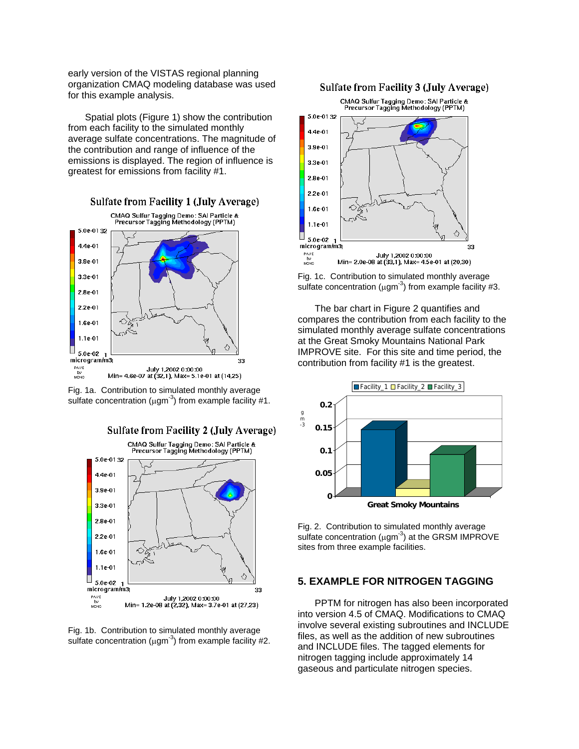early version of the VISTAS regional planning organization CMAQ modeling database was used for this example analysis.

Spatial plots (Figure 1) show the contribution from each facility to the simulated monthly average sulfate concentrations. The magnitude of the contribution and range of influence of the emissions is displayed. The region of influence is greatest for emissions from facility #1.



Fig. 1a. Contribution to simulated monthly average sulfate concentration ( $\mu$ gm<sup>-3</sup>) from example facility #1.



Fig. 1b. Contribution to simulated monthly average sulfate concentration ( $\mu$ gm<sup>-3</sup>) from example facility #2.

#### **Sulfate from Facility 3 (July Average)**



Fig. 1c. Contribution to simulated monthly average sulfate concentration ( $\mu$ gm<sup>-3</sup>) from example facility #3.

The bar chart in Figure 2 quantifies and compares the contribution from each facility to the simulated monthly average sulfate concentrations at the Great Smoky Mountains National Park IMPROVE site. For this site and time period, the contribution from facility #1 is the greatest.



Fig. 2. Contribution to simulated monthly average sulfate concentration  $(\mu q m^{-3})$  at the GRSM IMPROVE sites from three example facilities.

### **5. EXAMPLE FOR NITROGEN TAGGING**

PPTM for nitrogen has also been incorporated into version 4.5 of CMAQ. Modifications to CMAQ involve several existing subroutines and INCLUDE files, as well as the addition of new subroutines and INCLUDE files. The tagged elements for nitrogen tagging include approximately 14 gaseous and particulate nitrogen species.